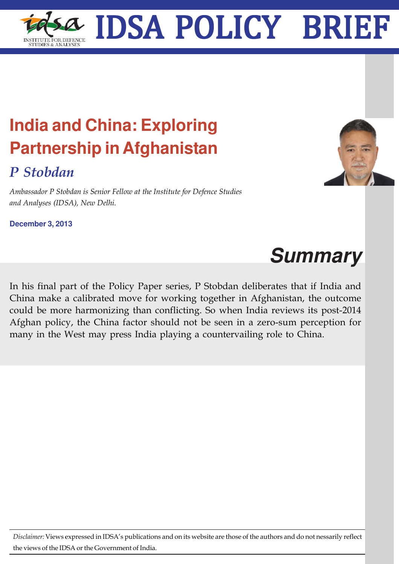## **India and China: Exploring Partnership in Afghanistan**

## *P Stobdan*

*Ambassador P Stobdan is Senior Fellow at the Institute for Defence Studies and Analyses (IDSA), New Delhi.*

**December 3, 2013**

## **Summary**

In his final part of the Policy Paper series, P Stobdan deliberates that if India and China make a calibrated move for working together in Afghanistan, the outcome could be more harmonizing than conflicting. So when India reviews its post-2014 Afghan policy, the China factor should not be seen in a zero-sum perception for many in the West may press India playing a countervailing role to China.

*Disclaimer:* Views expressed in IDSA's publications and on its website are those of the authors and do not nessarily reflect the views of the IDSA or the Government of India.



## IDSA Policy Brief **1** IDSA POLICY BRIEF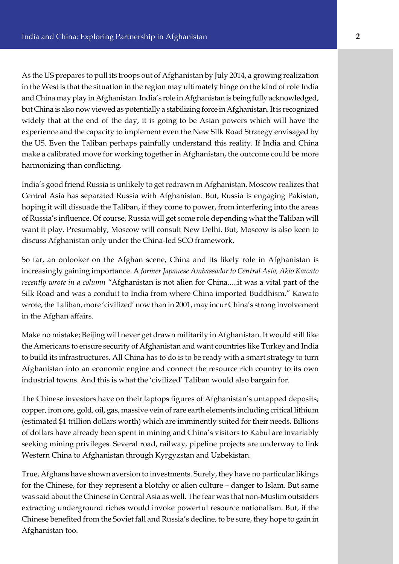As the US prepares to pull its troops out of Afghanistan by July 2014, a growing realization in the West is that the situation in the region may ultimately hinge on the kind of role India and China may play in Afghanistan. India's role in Afghanistan is being fully acknowledged, but China is also now viewed as potentially a stabilizing force in Afghanistan. It is recognized widely that at the end of the day, it is going to be Asian powers which will have the experience and the capacity to implement even the New Silk Road Strategy envisaged by the US. Even the Taliban perhaps painfully understand this reality. If India and China make a calibrated move for working together in Afghanistan, the outcome could be more harmonizing than conflicting.

India's good friend Russia is unlikely to get redrawn in Afghanistan. Moscow realizes that Central Asia has separated Russia with Afghanistan. But, Russia is engaging Pakistan, hoping it will dissuade the Taliban, if they come to power, from interfering into the areas of Russia's influence. Of course, Russia will get some role depending what the Taliban will want it play. Presumably, Moscow will consult New Delhi. But, Moscow is also keen to discuss Afghanistan only under the China-led SCO framework.

So far, an onlooker on the Afghan scene, China and its likely role in Afghanistan is increasingly gaining importance. A *former Japanese Ambassador to Central Asia, Akio Kawato recently wrote in a column "*Afghanistan is not alien for China.....it was a vital part of the Silk Road and was a conduit to India from where China imported Buddhism." Kawato wrote, the Taliban, more 'civilized' now than in 2001, may incur China's strong involvement in the Afghan affairs.

Make no mistake; Beijing will never get drawn militarily in Afghanistan. It would still like the Americans to ensure security of Afghanistan and want countries like Turkey and India to build its infrastructures. All China has to do is to be ready with a smart strategy to turn Afghanistan into an economic engine and connect the resource rich country to its own industrial towns. And this is what the 'civilized' Taliban would also bargain for.

The Chinese investors have on their laptops figures of Afghanistan's untapped deposits; copper, iron ore, gold, oil, gas, massive vein of rare earth elements including critical lithium (estimated \$1 trillion dollars worth) which are imminently suited for their needs. Billions of dollars have already been spent in mining and China's visitors to Kabul are invariably seeking mining privileges. Several road, railway, pipeline projects are underway to link Western China to Afghanistan through Kyrgyzstan and Uzbekistan.

True, Afghans have shown aversion to investments. Surely, they have no particular likings for the Chinese, for they represent a blotchy or alien culture – danger to Islam. But same was said about the Chinese in Central Asia as well. The fear was that non-Muslim outsiders extracting underground riches would invoke powerful resource nationalism. But, if the Chinese benefited from the Soviet fall and Russia's decline, to be sure, they hope to gain in Afghanistan too.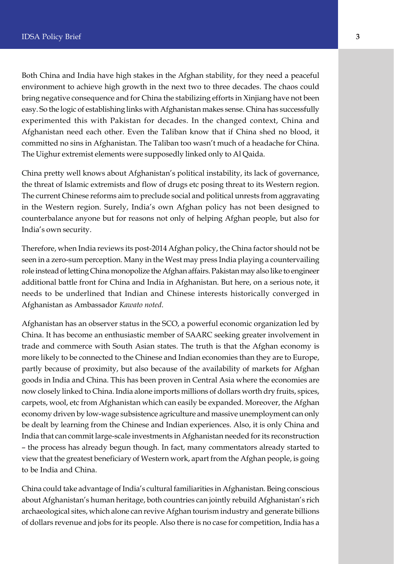Both China and India have high stakes in the Afghan stability, for they need a peaceful environment to achieve high growth in the next two to three decades. The chaos could bring negative consequence and for China the stabilizing efforts in Xinjiang have not been easy. So the logic of establishing links with Afghanistan makes sense. China has successfully experimented this with Pakistan for decades. In the changed context, China and Afghanistan need each other. Even the Taliban know that if China shed no blood, it committed no sins in Afghanistan. The Taliban too wasn't much of a headache for China. The Uighur extremist elements were supposedly linked only to Al Qaida.

China pretty well knows about Afghanistan's political instability, its lack of governance, the threat of Islamic extremists and flow of drugs etc posing threat to its Western region. The current Chinese reforms aim to preclude social and political unrests from aggravating in the Western region. Surely, India's own Afghan policy has not been designed to counterbalance anyone but for reasons not only of helping Afghan people, but also for India's own security.

Therefore, when India reviews its post-2014 Afghan policy, the China factor should not be seen in a zero-sum perception. Many in the West may press India playing a countervailing role instead of letting China monopolize the Afghan affairs. Pakistan may also like to engineer additional battle front for China and India in Afghanistan. But here, on a serious note, it needs to be underlined that Indian and Chinese interests historically converged in Afghanistan as Ambassador *Kawato noted*.

Afghanistan has an observer status in the SCO, a powerful economic organization led by China. It has become an enthusiastic member of SAARC seeking greater involvement in trade and commerce with South Asian states. The truth is that the Afghan economy is more likely to be connected to the Chinese and Indian economies than they are to Europe, partly because of proximity, but also because of the availability of markets for Afghan goods in India and China. This has been proven in Central Asia where the economies are now closely linked to China. India alone imports millions of dollars worth dry fruits, spices, carpets, wool, etc from Afghanistan which can easily be expanded. Moreover, the Afghan economy driven by low-wage subsistence agriculture and massive unemployment can only be dealt by learning from the Chinese and Indian experiences. Also, it is only China and India that can commit large-scale investments in Afghanistan needed for its reconstruction – the process has already begun though. In fact, many commentators already started to view that the greatest beneficiary of Western work, apart from the Afghan people, is going to be India and China.

China could take advantage of India's cultural familiarities in Afghanistan. Being conscious about Afghanistan's human heritage, both countries can jointly rebuild Afghanistan's rich archaeological sites, which alone can revive Afghan tourism industry and generate billions of dollars revenue and jobs for its people. Also there is no case for competition, India has a